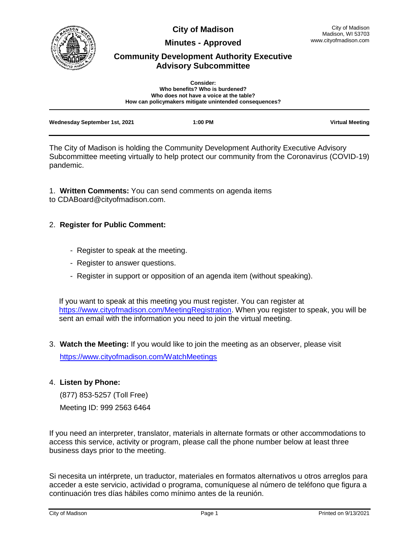

**City of Madison**

**Minutes - Approved**

# **Community Development Authority Executive Advisory Subcommittee**

| <b>Consider:</b><br>Who benefits? Who is burdened?<br>Who does not have a voice at the table? |                                                        |                        |
|-----------------------------------------------------------------------------------------------|--------------------------------------------------------|------------------------|
|                                                                                               | How can policymakers mitigate unintended consequences? |                        |
| Wednesday September 1st, 2021                                                                 | 1:00 PM                                                | <b>Virtual Meeting</b> |

The City of Madison is holding the Community Development Authority Executive Advisory Subcommittee meeting virtually to help protect our community from the Coronavirus (COVID-19) pandemic.

1. **Written Comments:** You can send comments on agenda items to CDABoard@cityofmadison.com.

## 2. **Register for Public Comment:**

- Register to speak at the meeting.
- Register to answer questions.
- Register in support or opposition of an agenda item (without speaking).

If you want to speak at this meeting you must register. You can register at [https://www.cityofmadison.com/MeetingRegistration.](https://www.cityofmadison.com/MeetingRegistration) When you register to speak, you will be sent an email with the information you need to join the virtual meeting.

3. **Watch the Meeting:** If you would like to join the meeting as an observer, please visit

<https://www.cityofmadison.com/WatchMeetings>

## 4. **Listen by Phone:**

(877) 853-5257 (Toll Free)

Meeting ID: 999 2563 6464

If you need an interpreter, translator, materials in alternate formats or other accommodations to access this service, activity or program, please call the phone number below at least three business days prior to the meeting.

Si necesita un intérprete, un traductor, materiales en formatos alternativos u otros arreglos para acceder a este servicio, actividad o programa, comuníquese al número de teléfono que figura a continuación tres días hábiles como mínimo antes de la reunión.